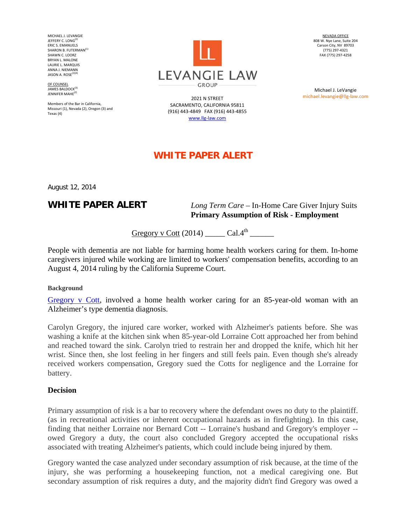MICHAEL J. LEVANGIE JEFFERY C. LONG<sup>(2</sup> ERIC S. EMANUELS SHARON B. FUTERMAN<sup>(1)</sup> SHAWN C. LOORZ BRYAN L. MALONE LAURIE L. MARQUIS ANNA J. NIEMANN JASON A. ROSE $(2)(4)$ 

OF COUNSEL JAMES BALDOCK<sup>(3)</sup> JENNIFER MAHF<sup>(2)</sup>

Members of the Bar in California, Missouri (1), Nevada (2), Oregon (3) and Texas (4)



2021 N STREET SACRAMENTO, CALIFORNIA 95811 (916) 443‐4849 FAX (916) 443‐4855 www.llg‐law.com

NEVADA OFFICE 808 W. Nye Lane, Suite 204 Carson City, NV 89703 (775) 297‐4321 FAX (775) 297‐4258

Michael J. LeVangie michael.levangie@llg‐law.com

# **WHITE PAPER ALERT**

August 12, 2014

## **WHITE PAPER ALERT** *Long Term Care* – In-Home Care Giver Injury Suits  **Primary Assumption of Risk - Employment**

Gregory v Cott  $(2014)$  \_\_\_\_\_\_ Cal. $4^{\text{th}}$ 

People with dementia are not liable for harming home health workers caring for them. In-home caregivers injured while working are limited to workers' compensation benefits, according to an August 4, 2014 ruling by the California Supreme Court.

**Background**

Gregory v Cott, involved a home health worker caring for an 85-year-old woman with an Alzheimer's type dementia diagnosis.

Carolyn Gregory, the injured care worker, worked with Alzheimer's patients before. She was washing a knife at the kitchen sink when 85-year-old Lorraine Cott approached her from behind and reached toward the sink. Carolyn tried to restrain her and dropped the knife, which hit her wrist. Since then, she lost feeling in her fingers and still feels pain. Even though she's already received workers compensation, Gregory sued the Cotts for negligence and the Lorraine for battery.

#### **Decision**

Primary assumption of risk is a bar to recovery where the defendant owes no duty to the plaintiff. (as in recreational activities or inherent occupational hazards as in firefighting). In this case, finding that neither Lorraine nor Bernard Cott -- Lorraine's husband and Gregory's employer - owed Gregory a duty, the court also concluded Gregory accepted the occupational risks associated with treating Alzheimer's patients, which could include being injured by them.

Gregory wanted the case analyzed under secondary assumption of risk because, at the time of the injury, she was performing a housekeeping function, not a medical caregiving one. But secondary assumption of risk requires a duty, and the majority didn't find Gregory was owed a